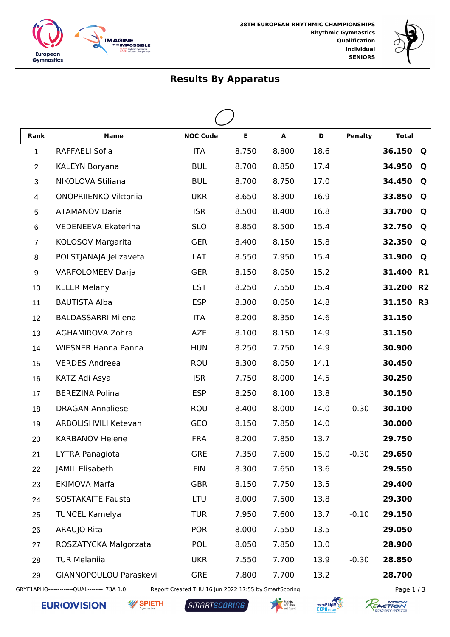



## **Results By Apparatus**

| Rank           | <b>Name</b>                | <b>NOC Code</b> | E     | A     | D    | <b>Penalty</b> | <b>Total</b> |                |
|----------------|----------------------------|-----------------|-------|-------|------|----------------|--------------|----------------|
| $\mathbf{1}$   | RAFFAELI Sofia             | <b>ITA</b>      | 8.750 | 8.800 | 18.6 |                | 36.150       | Q              |
| $\overline{2}$ | KALEYN Boryana             | <b>BUL</b>      | 8.700 | 8.850 | 17.4 |                | 34.950       | Q              |
| 3              | NIKOLOVA Stiliana          | <b>BUL</b>      | 8.700 | 8.750 | 17.0 |                | 34.450       | Q              |
| $\overline{4}$ | ONOPRIIENKO Viktoriia      | <b>UKR</b>      | 8.650 | 8.300 | 16.9 |                | 33.850       | Q              |
| $\sqrt{5}$     | <b>ATAMANOV Daria</b>      | <b>ISR</b>      | 8.500 | 8.400 | 16.8 |                | 33.700       | Q              |
| 6              | <b>VEDENEEVA Ekaterina</b> | <b>SLO</b>      | 8.850 | 8.500 | 15.4 |                | 32.750       | Q              |
| $\overline{7}$ | KOLOSOV Margarita          | <b>GER</b>      | 8.400 | 8.150 | 15.8 |                | 32.350       | Q              |
| 8              | POLSTJANAJA Jelizaveta     | LAT             | 8.550 | 7.950 | 15.4 |                | 31.900       | Q              |
| 9              | VARFOLOMEEV Darja          | <b>GER</b>      | 8.150 | 8.050 | 15.2 |                | 31.400 R1    |                |
| 10             | <b>KELER Melany</b>        | <b>EST</b>      | 8.250 | 7.550 | 15.4 |                | 31.200       | R <sub>2</sub> |
| 11             | <b>BAUTISTA Alba</b>       | <b>ESP</b>      | 8.300 | 8.050 | 14.8 |                | 31.150 R3    |                |
| 12             | <b>BALDASSARRI Milena</b>  | <b>ITA</b>      | 8.200 | 8.350 | 14.6 |                | 31.150       |                |
| 13             | AGHAMIROVA Zohra           | <b>AZE</b>      | 8.100 | 8.150 | 14.9 |                | 31.150       |                |
| 14             | <b>WIESNER Hanna Panna</b> | <b>HUN</b>      | 8.250 | 7.750 | 14.9 |                | 30.900       |                |
| 15             | <b>VERDES Andreea</b>      | ROU             | 8.300 | 8.050 | 14.1 |                | 30.450       |                |
| 16             | KATZ Adi Asya              | <b>ISR</b>      | 7.750 | 8.000 | 14.5 |                | 30.250       |                |
| 17             | <b>BEREZINA Polina</b>     | <b>ESP</b>      | 8.250 | 8.100 | 13.8 |                | 30.150       |                |
| 18             | <b>DRAGAN Annaliese</b>    | ROU             | 8.400 | 8.000 | 14.0 | $-0.30$        | 30.100       |                |
| 19             | ARBOLISHVILI Ketevan       | GEO             | 8.150 | 7.850 | 14.0 |                | 30.000       |                |
| 20             | <b>KARBANOV Helene</b>     | <b>FRA</b>      | 8.200 | 7.850 | 13.7 |                | 29.750       |                |
| 21             | LYTRA Panagiota            | <b>GRE</b>      | 7.350 | 7.600 | 15.0 | $-0.30$        | 29.650       |                |
| 22             | JAMIL Elisabeth            | <b>FIN</b>      | 8.300 | 7.650 | 13.6 |                | 29.550       |                |
| 23             | <b>EKIMOVA Marfa</b>       | <b>GBR</b>      | 8.150 | 7.750 | 13.5 |                | 29.400       |                |
| 24             | <b>SOSTAKAITE Fausta</b>   | LTU             | 8.000 | 7.500 | 13.8 |                | 29.300       |                |
| 25             | <b>TUNCEL Kamelya</b>      | <b>TUR</b>      | 7.950 | 7.600 | 13.7 | $-0.10$        | 29.150       |                |
| 26             | ARAUJO Rita                | <b>POR</b>      | 8.000 | 7.550 | 13.5 |                | 29.050       |                |
| 27             | ROSZATYCKA Malgorzata      | <b>POL</b>      | 8.050 | 7.850 | 13.0 |                | 28.900       |                |
| 28             | <b>TUR Melaniia</b>        | <b>UKR</b>      | 7.550 | 7.700 | 13.9 | $-0.30$        | 28.850       |                |
| 29             | GIANNOPOULOU Paraskevi     | <b>GRE</b>      | 7.800 | 7.700 | 13.2 |                | 28.700       |                |

GRYF1APHO--------------QUAL---------\_73A 1.0 Report Created THU 16 Jun 2022 17:55 by SmartScoring Page 1 / 3

**EURIOVISION** 

**W** SPIETH

SMARTSCORING





NTION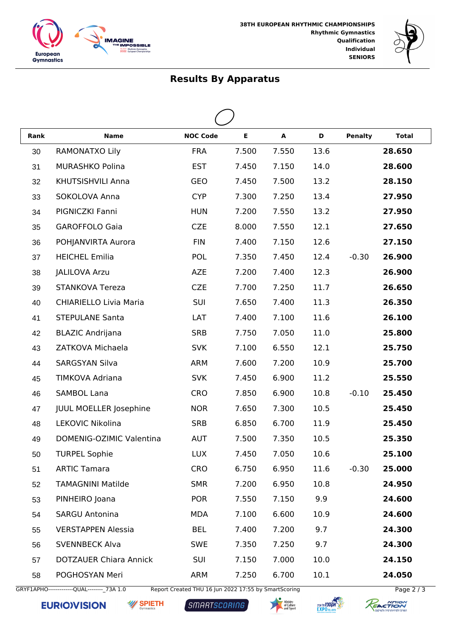



## **Results By Apparatus**

| Rank | <b>Name</b>                   | <b>NOC Code</b> | $\mathsf E$ | A     | D    | <b>Penalty</b> | <b>Total</b> |  |
|------|-------------------------------|-----------------|-------------|-------|------|----------------|--------------|--|
| 30   | RAMONATXO Lily                | <b>FRA</b>      | 7.500       | 7.550 | 13.6 |                | 28.650       |  |
| 31   | <b>MURASHKO Polina</b>        | <b>EST</b>      | 7.450       | 7.150 | 14.0 |                | 28.600       |  |
| 32   | KHUTSISHVILI Anna             | GEO             | 7.450       | 7.500 | 13.2 |                | 28.150       |  |
| 33   | SOKOLOVA Anna                 | <b>CYP</b>      | 7.300       | 7.250 | 13.4 |                | 27.950       |  |
| 34   | PIGNICZKI Fanni               | <b>HUN</b>      | 7.200       | 7.550 | 13.2 |                | 27.950       |  |
| 35   | <b>GAROFFOLO Gaia</b>         | <b>CZE</b>      | 8.000       | 7.550 | 12.1 |                | 27.650       |  |
| 36   | POHJANVIRTA Aurora            | <b>FIN</b>      | 7.400       | 7.150 | 12.6 |                | 27.150       |  |
| 37   | <b>HEICHEL Emilia</b>         | <b>POL</b>      | 7.350       | 7.450 | 12.4 | $-0.30$        | 26.900       |  |
| 38   | <b>JALILOVA Arzu</b>          | AZE             | 7.200       | 7.400 | 12.3 |                | 26.900       |  |
| 39   | <b>STANKOVA Tereza</b>        | <b>CZE</b>      | 7.700       | 7.250 | 11.7 |                | 26.650       |  |
| 40   | <b>CHIARIELLO Livia Maria</b> | SUI             | 7.650       | 7.400 | 11.3 |                | 26.350       |  |
| 41   | <b>STEPULANE Santa</b>        | LAT             | 7.400       | 7.100 | 11.6 |                | 26.100       |  |
| 42   | <b>BLAZIC Andrijana</b>       | <b>SRB</b>      | 7.750       | 7.050 | 11.0 |                | 25.800       |  |
| 43   | ZATKOVA Michaela              | <b>SVK</b>      | 7.100       | 6.550 | 12.1 |                | 25.750       |  |
| 44   | <b>SARGSYAN Silva</b>         | ARM             | 7.600       | 7.200 | 10.9 |                | 25.700       |  |
| 45   | TIMKOVA Adriana               | <b>SVK</b>      | 7.450       | 6.900 | 11.2 |                | 25.550       |  |
| 46   | <b>SAMBOL Lana</b>            | CRO             | 7.850       | 6.900 | 10.8 | $-0.10$        | 25.450       |  |
| 47   | <b>JUUL MOELLER Josephine</b> | <b>NOR</b>      | 7.650       | 7.300 | 10.5 |                | 25.450       |  |
| 48   | LEKOVIC Nikolina              | <b>SRB</b>      | 6.850       | 6.700 | 11.9 |                | 25.450       |  |
| 49   | DOMENIG-OZIMIC Valentina      | <b>AUT</b>      | 7.500       | 7.350 | 10.5 |                | 25.350       |  |
| 50   | <b>TURPEL Sophie</b>          | <b>LUX</b>      | 7.450       | 7.050 | 10.6 |                | 25.100       |  |
| 51   | <b>ARTIC Tamara</b>           | <b>CRO</b>      | 6.750       | 6.950 | 11.6 | $-0.30$        | 25.000       |  |
| 52   | <b>TAMAGNINI Matilde</b>      | <b>SMR</b>      | 7.200       | 6.950 | 10.8 |                | 24.950       |  |
| 53   | PINHEIRO Joana                | <b>POR</b>      | 7.550       | 7.150 | 9.9  |                | 24.600       |  |
| 54   | <b>SARGU Antonina</b>         | <b>MDA</b>      | 7.100       | 6.600 | 10.9 |                | 24.600       |  |
| 55   | <b>VERSTAPPEN Alessia</b>     | <b>BEL</b>      | 7.400       | 7.200 | 9.7  |                | 24.300       |  |
| 56   | <b>SVENNBECK Alva</b>         | <b>SWE</b>      | 7.350       | 7.250 | 9.7  |                | 24.300       |  |
| 57   | <b>DOTZAUER Chiara Annick</b> | SUI             | 7.150       | 7.000 | 10.0 |                | 24.150       |  |
| 58   | POGHOSYAN Meri                | ARM             | 7.250       | 6.700 | 10.1 |                | 24.050       |  |

GRYF1APHO--------------QUAL---------\_73A 1.0 Report Created THU 16 Jun 2022 17:55 by SmartScoring Page 2 / 3

**EURIOVISION W** SPIETH

SMARTSCORING